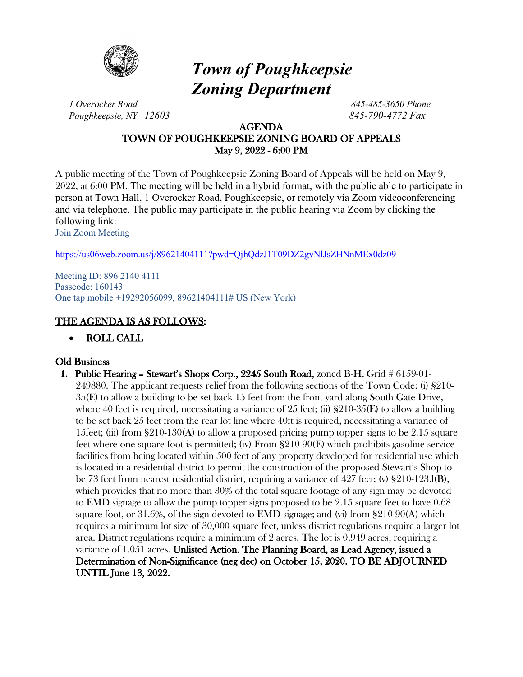

# *Town of Poughkeepsie Zoning Department*

*1 Overocker Road 845-485-3650 Phone Poughkeepsie, NY 12603 845-790-4772 Fax*

### AGENDA TOWN OF POUGHKEEPSIE ZONING BOARD OF APPEALS May 9, 2022 - 6:00 PM

A public meeting of the Town of Poughkeepsie Zoning Board of Appeals will be held on May 9, 2022, at 6:00 PM. The meeting will be held in a hybrid format, with the public able to participate in person at Town Hall, 1 Overocker Road, Poughkeepsie, or remotely via Zoom videoconferencing and via telephone. The public may participate in the public hearing via Zoom by clicking the following link:

Join Zoom Meeting

<https://us06web.zoom.us/j/89621404111?pwd=QjhQdzJ1T09DZ2gvNlJsZHNnMEx0dz09>

Meeting ID: 896 2140 4111 Passcode: 160143 One tap mobile +19292056099, 89621404111# US (New York)

## THE AGENDA IS AS FOLLOWS:

• ROLL CALL

## **Old Business**

**1.** Public Hearing – Stewart's Shops Corp., 2245 South Road, zoned B-H, Grid # 6159-01- 249880. The applicant requests relief from the following sections of the Town Code: (i) §210- 35(E) to allow a building to be set back 15 feet from the front yard along South Gate Drive, where 40 feet is required, necessitating a variance of 25 feet; (ii)  $\S210-35(E)$  to allow a building to be set back 25 feet from the rear lot line where 40ft is required, necessitating a variance of 15feet; (iii) from  $\S210-130(A)$  to allow a proposed pricing pump topper signs to be 2.15 square feet where one square foot is permitted; (iv) From §210-90(E) which prohibits gasoline service facilities from being located within 500 feet of any property developed for residential use which is located in a residential district to permit the construction of the proposed Stewart's Shop to be 73 feet from nearest residential district, requiring a variance of 427 feet; (v) §210-123.l(B), which provides that no more than 30% of the total square footage of any sign may be devoted to EMD signage to allow the pump topper signs proposed to be 2.15 square feet to have 0.68 square foot, or 31.6%, of the sign devoted to EMD signage; and (vi) from §210-90(A) which requires a minimum lot size of 30,000 square feet, unless district regulations require a larger lot area. District regulations require a minimum of 2 acres. The lot is 0.949 acres, requiring a variance of 1.051 acres. Unlisted Action. The Planning Board, as Lead Agency, issued a Determination of Non-Significance (neg dec) on October 15, 2020. TO BE ADJOURNED UNTIL June 13, 2022.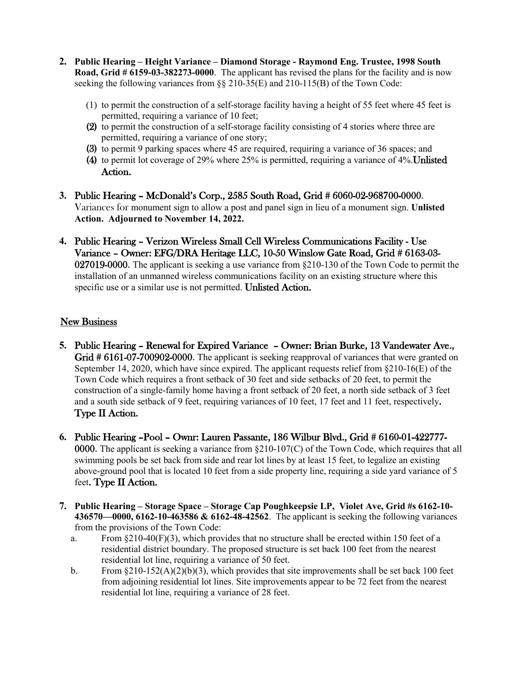- **2. Public Hearing – Height Variance – Diamond Storage - Raymond Eng. Trustee, 1998 South Road, Grid # 6159-03-382273-0000**. The applicant has revised the plans for the facility and is now seeking the following variances from §§ 210-35(E) and 210-115(B) of the Town Code:
	- (1) to permit the construction of a self-storage facility having a height of 55 feet where 45 feet is permitted, requiring a variance of 10 feet;
	- (2) to permit the construction of a self-storage facility consisting of 4 stories where three are permitted, requiring a variance of one story;
	- (3) to permit 9 parking spaces where 45 are required, requiring a variance of 36 spaces; and
	- (4) to permit lot coverage of 29% where 25% is permitted, requiring a variance of 4%.Unlisted Action.
- **3.** Public Hearing McDonald's Corp., 2585 South Road, Grid # 6060-02-968700-0000. Variances for monument sign to allow a post and panel sign in lieu of a monument sign. **Unlisted Action. Adjourned to November 14, 2022.**
- **4.** Public Hearing Verizon Wireless Small Cell Wireless Communications Facility Use Variance – Owner: EFG/DRA Heritage LLC, 10-50 Winslow Gate Road, Grid # 6163-03- 027019-0000. The applicant is seeking a use variance from §210-130 of the Town Code to permit the installation of an unmanned wireless communications facility on an existing structure where this specific use or a similar use is not permitted. Unlisted Action.

#### New Business

- **5.** Public Hearing Renewal for Expired Variance Owner: Brian Burke, 13 Vandewater Ave., Grid # 6161-07-700902-0000. The applicant is seeking reapproval of variances that were granted on September 14, 2020, which have since expired. The applicant requests relief from §210-16(E) of the Town Code which requires a front setback of 30 feet and side setbacks of 20 feet, to permit the construction of a single-family home having a front setback of 20 feet, a north side setback of 3 feet and a south side setback of 9 feet, requiring variances of 10 feet, 17 feet and 11 feet, respectively. Type II Action.
- **6.** Public Hearing –Pool Ownr: Lauren Passante, 186 Wilbur Blvd., Grid # 6160-01-422777- 0000. The applicant is seeking a variance from §210-107(C) of the Town Code, which requires that all swimming pools be set back from side and rear lot lines by at least 15 feet, to legalize an existing above-ground pool that is located 10 feet from a side property line, requiring a side yard variance of 5 feet. Type II Action.
- **7. Public Hearing – Storage Space – Storage Cap Poughkeepsie LP, Violet Ave, Grid #s 6162-10- 436570—0000, 6162-10-463586 & 6162-48-42562**. The applicant is seeking the following variances from the provisions of the Town Code:
	- a. From  $\S210-40(F)(3)$ , which provides that no structure shall be erected within 150 feet of a residential district boundary. The proposed structure is set back 100 feet from the nearest residential lot line, requiring a variance of 50 feet.
	- b. From  $\frac{210-152(A)(2)(b)}{3}$ , which provides that site improvements shall be set back 100 feet from adjoining residential lot lines. Site improvements appear to be 72 feet from the nearest residential lot line, requiring a variance of 28 feet.